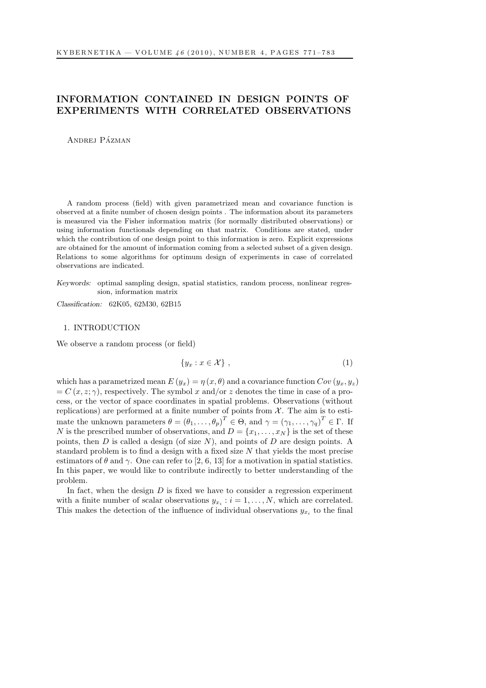# INFORMATION CONTAINED IN DESIGN POINTS OF EXPERIMENTS WITH CORRELATED OBSERVATIONS

ANDREJ PÁZMAN

A random process (field) with given parametrized mean and covariance function is observed at a finite number of chosen design points . The information about its parameters is measured via the Fisher information matrix (for normally distributed observations) or using information functionals depending on that matrix. Conditions are stated, under which the contribution of one design point to this information is zero. Explicit expressions are obtained for the amount of information coming from a selected subset of a given design. Relations to some algorithms for optimum design of experiments in case of correlated observations are indicated.

Keywords: optimal sampling design, spatial statistics, random process, nonlinear regression, information matrix

Classification: 62K05, 62M30, 62B15

### 1. INTRODUCTION

We observe a random process (or field)

<span id="page-0-0"></span>
$$
\{y_x : x \in \mathcal{X}\},\tag{1}
$$

which has a parametrized mean  $E(y_x) = \eta(x, \theta)$  and a covariance function  $Cov(y_x, y_z)$  $= C(x, z; \gamma)$ , respectively. The symbol x and/or z denotes the time in case of a process, or the vector of space coordinates in spatial problems. Observations (without replications) are performed at a finite number of points from  $X$ . The aim is to estimate the unknown parameters  $\theta = (\theta_1, \ldots, \theta_p)^T \in \Theta$ , and  $\gamma = (\gamma_1, \ldots, \gamma_q)^T \in \Gamma$ . If N is the prescribed number of observations, and  $D = \{x_1, \ldots, x_N\}$  is the set of these points, then D is called a design (of size  $N$ ), and points of D are design points. A standard problem is to find a design with a fixed size N that yields the most precise estimators of  $\theta$  and  $\gamma$ . One can refer to [2, 6, 13] for a motivation in spatial statistics. In this paper, we would like to contribute indirectly to better understanding of the problem.

In fact, when the design  $D$  is fixed we have to consider a regression experiment with a finite number of scalar observations  $y_{x_i} : i = 1, ..., N$ , which are correlated. This makes the detection of the influence of individual observations  $y_{x_i}$  to the final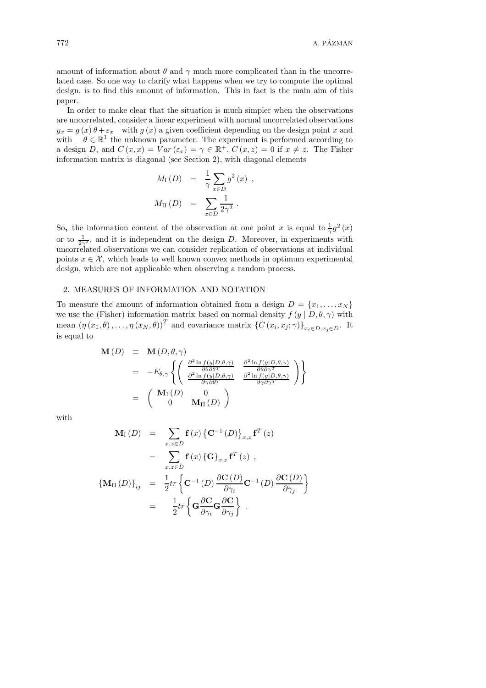amount of information about  $\theta$  and  $\gamma$  much more complicated than in the uncorrelated case. So one way to clarify what happens when we try to compute the optimal design, is to find this amount of information. This in fact is the main aim of this paper.

In order to make clear that the situation is much simpler when the observations are uncorrelated, consider a linear experiment with normal uncorrelated observations  $y_x = g(x)\theta + \varepsilon_x$  with  $g(x)$  a given coefficient depending on the design point x and with  $\theta \in \mathbb{R}^1$  the unknown parameter. The experiment is performed according to a design D, and  $C(x, x) = Var(\varepsilon_x) = \gamma \in \mathbb{R}^+, C(x, z) = 0$  if  $x \neq z$ . The Fisher information matrix is diagonal (see Section 2), with diagonal elements

$$
M_{\rm I}(D) = \frac{1}{\gamma} \sum_{x \in D} g^2(x) ,
$$
  

$$
M_{\rm II}(D) = \sum_{x \in D} \frac{1}{2\gamma^2} .
$$

So, the information content of the observation at one point x is equal to  $\frac{1}{\gamma}g^2(x)$ or to  $\frac{1}{2\gamma^2}$ , and it is independent on the design D. Moreover, in experiments with uncorrelated observations we can consider replication of observations at individual points  $x \in \mathcal{X}$ , which leads to well known convex methods in optimum experimental design, which are not applicable when observing a random process.

#### 2. MEASURES OF INFORMATION AND NOTATION

To measure the amount of information obtained from a design  $D = \{x_1, \ldots, x_N\}$ we use the (Fisher) information matrix based on normal density  $f(y | D, \theta, \gamma)$  with mean  $(\eta(x_1,\theta),\ldots,\eta(x_N,\theta))^T$  and covariance matrix  $\{C(x_i,x_j;\gamma)\}_{x_i\in D,x_j\in D}$ . It is equal to

$$
\mathbf{M}(D) \equiv \mathbf{M}(D, \theta, \gamma) \n= -E_{\theta, \gamma} \left\{ \begin{pmatrix} \frac{\partial^2 \ln f(y|D, \theta, \gamma)}{\partial \theta \partial \theta^T} & \frac{\partial^2 \ln f(y|D, \theta, \gamma)}{\partial \theta \partial \gamma^T} \\ \frac{\partial^2 \ln f(y|D, \theta, \gamma)}{\partial \gamma \partial \theta^T} & \frac{\partial^2 \ln f(y|D, \theta, \gamma)}{\partial \gamma \partial \gamma^T} \end{pmatrix} \right\} \n= \begin{pmatrix} \mathbf{M}_{\mathrm{I}}(D) & 0 \\ 0 & \mathbf{M}_{\mathrm{II}}(D) \end{pmatrix}
$$

with

$$
\mathbf{M}_{\mathrm{I}}(D) = \sum_{x,z \in D} \mathbf{f}(x) \{ \mathbf{C}^{-1}(D) \}_{x,z} \mathbf{f}^{T}(z)
$$
  
\n
$$
= \sum_{x,z \in D} \mathbf{f}(x) \{ \mathbf{G} \}_{x,z} \mathbf{f}^{T}(z) ,
$$
  
\n
$$
\{ \mathbf{M}_{\mathrm{II}}(D) \}_{ij} = \frac{1}{2} tr \{ \mathbf{C}^{-1}(D) \frac{\partial \mathbf{C}(D)}{\partial \gamma_{i}} \mathbf{C}^{-1}(D) \frac{\partial \mathbf{C}(D)}{\partial \gamma_{j}} \}
$$
  
\n
$$
= \frac{1}{2} tr \{ \mathbf{G} \frac{\partial \mathbf{C}}{\partial \gamma_{i}} \mathbf{G} \frac{\partial \mathbf{C}}{\partial \gamma_{j}} \} .
$$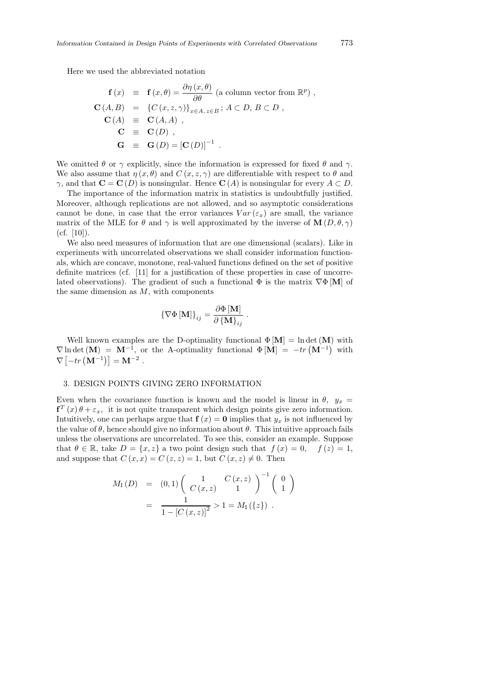Here we used the abbreviated notation

$$
\begin{array}{rcl}\n\mathbf{f}(x) & \equiv & \mathbf{f}(x,\theta) = \frac{\partial \eta(x,\theta)}{\partial \theta} \text{ (a column vector from } \mathbb{R}^p) \,, \\
\mathbf{C}(A,B) & = & \{C(x,z,\gamma)\}_{x \in A, z \in B} \, ; \, A \subset D, \, B \subset D \,, \\
\mathbf{C}(A) & \equiv & \mathbf{C}(A,A) \,, \\
\mathbf{C} & \equiv & \mathbf{C}(D) \,, \\
\mathbf{G} & \equiv & \mathbf{G}(D) = [\mathbf{C}(D)]^{-1} \, .\n\end{array}
$$

We omitted  $\theta$  or  $\gamma$  explicitly, since the information is expressed for fixed  $\theta$  and  $\gamma$ . We also assume that  $\eta(x, \theta)$  and  $C(x, z, \gamma)$  are differentiable with respect to  $\theta$  and  $\gamma$ , and that  $\mathbf{C} = \mathbf{C}(D)$  is nonsingular. Hence  $\mathbf{C}(A)$  is nonsingular for every  $A \subset D$ .

The importance of the information matrix in statistics is undoubtfully justified. Moreover, although replications are not allowed, and so asymptotic considerations cannot be done, in case that the error variances  $Var(\varepsilon_x)$  are small, the variance matrix of the MLE for  $\theta$  and  $\gamma$  is well approximated by the inverse of  $\mathbf{M}(D, \theta, \gamma)$  $(cf. [10]).$ 

We also need measures of information that are one dimensional (scalars). Like in experiments with uncorrelated observations we shall consider information functionals, which are concave, monotone, real-valued functions defined on the set of positive definite matrices (cf. [11] for a justification of these properties in case of uncorrelated observations). The gradient of such a functional  $\Phi$  is the matrix  $\nabla \Phi$  [M] of the same dimension as  $M$ , with components

$$
\left\{\nabla\Phi\left[\mathbf{M}\right]\right\}_{ij} = \frac{\partial\Phi\left[\mathbf{M}\right]}{\partial\left\{\mathbf{M}\right\}_{ij}}.
$$

Well known examples are the D-optimality functional  $\Phi[\mathbf{M}] = \ln \det(\mathbf{M})$  with  $\nabla$ ln det  $(M) = M^{-1}$ , or the A-optimality functional  $\Phi[M] = -tr(M^{-1})$  with  $\nabla \left[ -tr\left( \mathbf{M}^{-1} \right) \right] = \mathbf{M}^{-2}$ .

### 3. DESIGN POINTS GIVING ZERO INFORMATION

Even when the covariance function is known and the model is linear in  $\theta$ ,  $y_x =$  $f^{T}(x) \theta + \varepsilon_{x}$ , it is not quite transparent which design points give zero information. Intuitively, one can perhaps argue that  $f(x) = 0$  implies that  $y_x$  is not influenced by the value of  $\theta$ , hence should give no information about  $\theta$ . This intuitive approach fails unless the observations are uncorrelated. To see this, consider an example. Suppose that  $\theta \in \mathbb{R}$ , take  $D = \{x, z\}$  a two point design such that  $f(x) = 0$ ,  $f(z) = 1$ , and suppose that  $C(x, x) = C(z, z) = 1$ , but  $C(x, z) \neq 0$ . Then

$$
M_{\rm I}(D) = (0,1) \begin{pmatrix} 1 & C(x,z) \\ C(x,z) & 1 \end{pmatrix}^{-1} \begin{pmatrix} 0 \\ 1 \end{pmatrix}
$$
  
= 
$$
\frac{1}{1 - [C(x,z)]^2} > 1 = M_{\rm I}(\{z\}) .
$$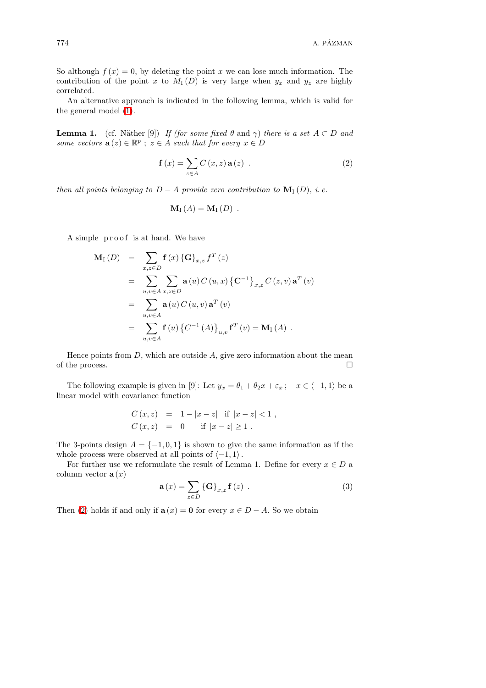So although  $f(x) = 0$ , by deleting the point x we can lose much information. The contribution of the point x to  $M_1(D)$  is very large when  $y_x$  and  $y_z$  are highly correlated.

An alternative approach is indicated in the following lemma, which is valid for the general model [\(1\)](#page-0-0).

<span id="page-3-0"></span>**Lemma 1.** (cf. Näther [9]) If (for some fixed  $\theta$  and  $\gamma$ ) there is a set  $A \subset D$  and some vectors  $\mathbf{a}(z) \in \mathbb{R}^p$ ;  $z \in A$  such that for every  $x \in D$ 

$$
\mathbf{f}\left(x\right) = \sum_{z \in A} C\left(x, z\right) \mathbf{a}\left(z\right) \tag{2}
$$

then all points belonging to  $D - A$  provide zero contribution to  $\mathbf{M}_{\mathrm{I}}(D)$ , i.e.

$$
\mathbf{M}_{\mathrm{I}}\left( A\right) =\mathbf{M}_{\mathrm{I}}\left( D\right) .
$$

A simple proof is at hand. We have

$$
\mathbf{M}_{\mathrm{I}}(D) = \sum_{x,z \in D} \mathbf{f}(x) \{ \mathbf{G} \}_{x,z} f^{T}(z)
$$
  
\n
$$
= \sum_{u,v \in A} \sum_{x,z \in D} \mathbf{a}(u) C(u,x) \{ \mathbf{C}^{-1} \}_{x,z} C(z,v) \mathbf{a}^{T}(v)
$$
  
\n
$$
= \sum_{u,v \in A} \mathbf{a}(u) C(u,v) \mathbf{a}^{T}(v)
$$
  
\n
$$
= \sum_{u,v \in A} \mathbf{f}(u) \{ C^{-1}(A) \}_{u,v} \mathbf{f}^{T}(v) = \mathbf{M}_{\mathrm{I}}(A) .
$$

Hence points from  $D$ , which are outside  $A$ , give zero information about the mean of the process.  $\Box$ 

The following example is given in [9]: Let  $y_x = \theta_1 + \theta_2 x + \varepsilon_x$ ;  $x \in \langle -1, 1 \rangle$  be a linear model with covariance function

$$
C(x, z) = 1 - |x - z| \text{ if } |x - z| < 1,
$$
  
\n
$$
C(x, z) = 0 \text{ if } |x - z| \ge 1.
$$

The 3-points design  $A = \{-1, 0, 1\}$  is shown to give the same information as if the whole process were observed at all points of  $\langle -1, 1 \rangle$ .

<span id="page-3-1"></span>For further use we reformulate the result of Lemma 1. Define for every  $x \in D$  a column vector  $\mathbf{a}(x)$ 

$$
\mathbf{a}(x) = \sum_{z \in D} \left\{ \mathbf{G} \right\}_{x,z} \mathbf{f}(z) . \tag{3}
$$

Then [\(2\)](#page-3-0) holds if and only if  $\mathbf{a}(x) = \mathbf{0}$  for every  $x \in D - A$ . So we obtain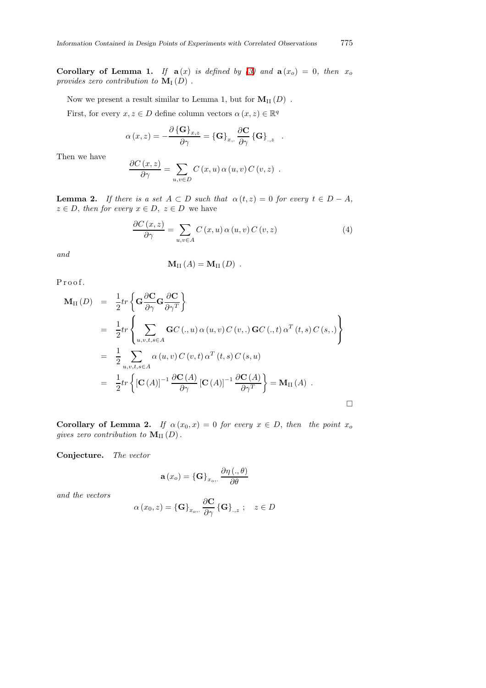Corollary of Lemma 1. If  $a(x)$  is defined by [\(3\)](#page-3-1) and  $a(x_0) = 0$ , then  $x_0$ provides zero contribution to  $\mathbf{M}_{\mathrm{I}}(D)$ .

Now we present a result similar to Lemma 1, but for  $M_{II}(D)$ .

First, for every  $x, z \in D$  define column vectors  $\alpha(x, z) \in \mathbb{R}^q$ 

$$
\alpha(x,z) = -\frac{\partial {\{\mathbf{G}\}}_{x,z}}{\partial \gamma} = {\{\mathbf{G}\}}_{x,.} \frac{\partial {\mathbf{C}}}{\partial \gamma} {\{\mathbf{G}\}}_{.,z} .
$$

Then we have

$$
\frac{\partial C(x,z)}{\partial \gamma} = \sum_{u,v \in D} C(x,u) \alpha(u,v) C(v,z) .
$$

**Lemma 2.** If there is a set  $A \subset D$  such that  $\alpha(t, z) = 0$  for every  $t \in D - A$ ,  $z \in D$ , then for every  $x \in D$ ,  $z \in D$  we have

$$
\frac{\partial C(x,z)}{\partial \gamma} = \sum_{u,v \in A} C(x,u) \alpha(u,v) C(v,z)
$$
 (4)

and

$$
\mathbf{M}_{\mathrm{II}}\left( A\right) =\mathbf{M}_{\mathrm{II}}\left( D\right) .
$$

Proof.

$$
\mathbf{M}_{\mathrm{II}}(D) = \frac{1}{2} tr \left\{ \mathbf{G} \frac{\partial \mathbf{C}}{\partial \gamma} \mathbf{G} \frac{\partial \mathbf{C}}{\partial \gamma^T} \right\}
$$
  
\n
$$
= \frac{1}{2} tr \left\{ \sum_{u,v,t,s \in A} \mathbf{G} C (.,u) \alpha (u,v) C (v,.) \mathbf{G} C (.,t) \alpha^T (t,s) C (s,.) \right\}
$$
  
\n
$$
= \frac{1}{2} \sum_{u,v,t,s \in A} \alpha (u,v) C (v,t) \alpha^T (t,s) C (s,u)
$$
  
\n
$$
= \frac{1}{2} tr \left\{ [\mathbf{C}(A)]^{-1} \frac{\partial \mathbf{C}(A)}{\partial \gamma} [\mathbf{C}(A)]^{-1} \frac{\partial \mathbf{C}(A)}{\partial \gamma^T} \right\} = \mathbf{M}_{\mathrm{II}}(A) .
$$

Corollary of Lemma 2. If  $\alpha(x_0, x) = 0$  for every  $x \in D$ , then the point  $x_0$ gives zero contribution to  $\mathbf{M}_{\text{II}}(D)$ .

Conjecture. The vector

$$
\mathbf{a}\left(x_{o}\right)=\left\{ \mathbf{G}\right\} _{x_{o},\cdot}\frac{\partial\eta\left( ., \theta\right)}{\partial\theta}
$$

and the vectors

$$
\alpha(x_0, z) = {\mathbf{G}}_{x_0, \dots, \frac{\partial \mathbf{C}}{\partial \gamma}} {\mathbf{G}}_{\dots, z} ; \quad z \in D
$$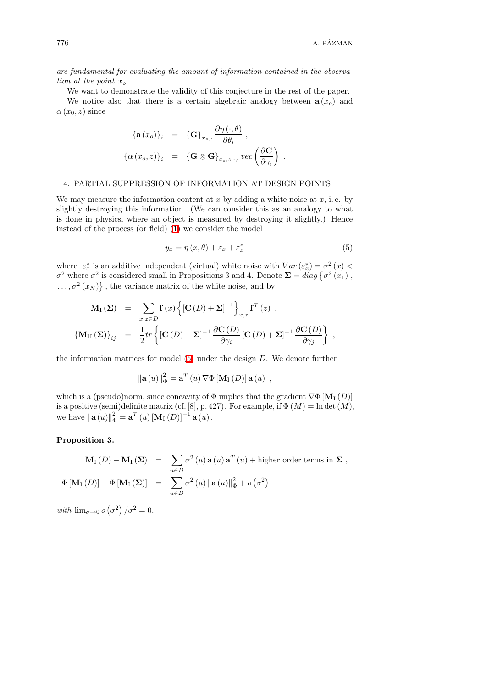are fundamental for evaluating the amount of information contained in the observation at the point  $x_o$ .

We want to demonstrate the validity of this conjecture in the rest of the paper.

We notice also that there is a certain algebraic analogy between  $\mathbf{a}(x_0)$  and  $\alpha(x_0, z)$  since

$$
\begin{array}{rcl}\n\{\mathbf{a}(x_o)\}_i & = & \{\mathbf{G}\}_{x_o,:} \frac{\partial \eta \left(\cdot, \theta\right)}{\partial \theta_i}, \\
\{\alpha \left(x_o, z\right)\}_i & = & \{\mathbf{G} \otimes \mathbf{G}\}_{x_o, z, \cdot, \cdot} \text{vec}\left(\frac{\partial \mathbf{C}}{\partial \gamma_i}\right)\n\end{array}.
$$

### 4. PARTIAL SUPPRESSION OF INFORMATION AT DESIGN POINTS

We may measure the information content at x by adding a white noise at  $x$ , i.e. by slightly destroying this information. (We can consider this as an analogy to what is done in physics, where an object is measured by destroying it slightly.) Hence instead of the process (or field) [\(1\)](#page-0-0) we consider the model

$$
y_x = \eta(x, \theta) + \varepsilon_x + \varepsilon_x^* \tag{5}
$$

<span id="page-5-0"></span>where  $\varepsilon_x^*$  is an additive independent (virtual) white noise with  $Var(\varepsilon_x^*) = \sigma^2(x)$  $\sigma^2$  where  $\sigma^2$  is considered small in Propositions 3 and 4. Denote  $\Sigma = diag\{\sigma^2(x_1), \sigma^2(x_2)\}$  $\ldots, \sigma^2(x_N) \},\$  the variance matrix of the white noise, and by

$$
\mathbf{M}_{\mathrm{I}}(\Sigma) = \sum_{x,z \in D} \mathbf{f}(x) \left\{ \left[ \mathbf{C}(D) + \Sigma \right]^{-1} \right\}_{x,z} \mathbf{f}^{T}(z) ,
$$
\n
$$
\left\{ \mathbf{M}_{\mathrm{II}}(\Sigma) \right\}_{ij} = \frac{1}{2} tr \left\{ \left[ \mathbf{C}(D) + \Sigma \right]^{-1} \frac{\partial \mathbf{C}(D)}{\partial \gamma_{i}} \left[ \mathbf{C}(D) + \Sigma \right]^{-1} \frac{\partial \mathbf{C}(D)}{\partial \gamma_{j}} \right\} ,
$$

the information matrices for model  $(5)$  under the design D. We denote further

$$
\|\mathbf{a}(u)\|_{\Phi}^{2} = \mathbf{a}^{T}(u) \nabla \Phi[\mathbf{M}_{I}(D)] \mathbf{a}(u) ,
$$

which is a (pseudo)norm, since concavity of  $\Phi$  implies that the gradient  $\nabla \Phi$  [M<sub>I</sub> (D)] is a positive (semi)definite matrix (cf. [8], p. 427). For example, if  $\Phi(M) = \ln \det(M)$ , we have  $\|\mathbf{a}(u)\|_{\Phi}^{2} = \mathbf{a}^{T}(u) [\mathbf{M}_{I}(D)]^{-1} \mathbf{a}(u)$ .

Proposition 3.

$$
\mathbf{M}_{\mathrm{I}}(D) - \mathbf{M}_{\mathrm{I}}(\Sigma) = \sum_{u \in D} \sigma^{2}(u) \mathbf{a}(u) \mathbf{a}^{T}(u) + \text{higher order terms in } \Sigma ,
$$
  

$$
\Phi[\mathbf{M}_{\mathrm{I}}(D)] - \Phi[\mathbf{M}_{\mathrm{I}}(\Sigma)] = \sum_{u \in D} \sigma^{2}(u) ||\mathbf{a}(u)||_{\Phi}^{2} + o(\sigma^{2})
$$

with  $\lim_{\sigma \to 0} o(\sigma^2)/\sigma^2 = 0.$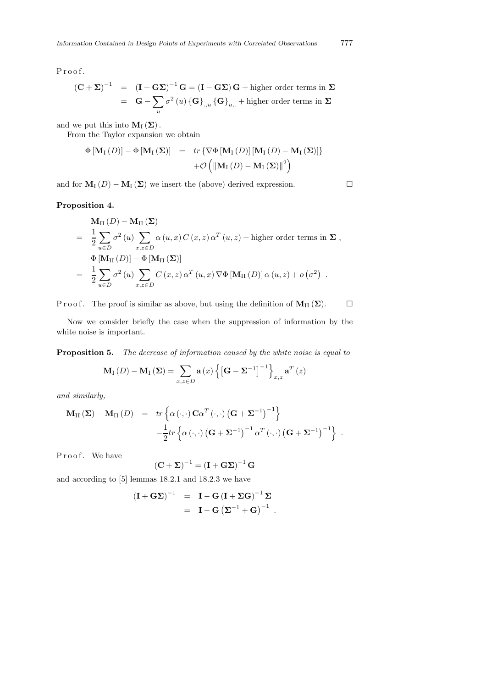Proof.

$$
(\mathbf{C} + \mathbf{\Sigma})^{-1} = (\mathbf{I} + \mathbf{G}\mathbf{\Sigma})^{-1} \mathbf{G} = (\mathbf{I} - \mathbf{G}\mathbf{\Sigma}) \mathbf{G} + \text{higher order terms in } \mathbf{\Sigma}
$$
  
=  $\mathbf{G} - \sum_{u} \sigma^2(u) \{\mathbf{G}\}_{u} \{\mathbf{G}\}_{u} + \text{higher order terms in } \mathbf{\Sigma}$ 

and we put this into  $M_I(\Sigma)$ .

From the Taylor expansion we obtain

$$
\begin{array}{rcl} \Phi\left[\mathbf{M}_{\mathrm{I}}\left(D\right)\right]-\Phi\left[\mathbf{M}_{\mathrm{I}}\left(\boldsymbol{\Sigma}\right)\right] & = & tr\left\{\nabla\Phi\left[\mathbf{M}_{\mathrm{I}}\left(D\right)\right]\left[\mathbf{M}_{\mathrm{I}}\left(D\right)-\mathbf{M}_{\mathrm{I}}\left(\boldsymbol{\Sigma}\right)\right]\right\} \\ & & + \mathcal{O}\left(\left\|\mathbf{M}_{\mathrm{I}}\left(D\right)-\mathbf{M}_{\mathrm{I}}\left(\boldsymbol{\Sigma}\right)\right\|^{2}\right) \end{array}
$$

and for  $M_I(D) - M_I(\Sigma)$  we insert the (above) derived expression.

### Proposition 4.

$$
\mathbf{M}_{\text{II}}(D) - \mathbf{M}_{\text{II}}(\Sigma)
$$
\n
$$
= \frac{1}{2} \sum_{u \in D} \sigma^2(u) \sum_{x,z \in D} \alpha(u,x) C(x,z) \alpha^T(u,z) + \text{higher order terms in } \Sigma,
$$
\n
$$
\Phi[\mathbf{M}_{\text{II}}(D)] - \Phi[\mathbf{M}_{\text{II}}(\Sigma)]
$$
\n
$$
= \frac{1}{2} \sum_{u \in D} \sigma^2(u) \sum_{x,z \in D} C(x,z) \alpha^T(u,x) \nabla \Phi[\mathbf{M}_{\text{II}}(D)] \alpha(u,z) + o(\sigma^2).
$$

P r o o f. The proof is similar as above, but using the definition of  $M_{II}(\Sigma)$ .  $\square$ 

Now we consider briefly the case when the suppression of information by the white noise is important.

Proposition 5. The decrease of information caused by the white noise is equal to

$$
\mathbf{M}_{\mathrm{I}}\left(D\right) - \mathbf{M}_{\mathrm{I}}\left(\mathbf{\Sigma}\right) = \sum_{x,z \in D} \mathbf{a}\left(x\right) \left\{\left[\mathbf{G} - \mathbf{\Sigma}^{-1}\right]^{-1}\right\}_{x,z} \mathbf{a}^{T}\left(z\right)
$$

and similarly,

$$
\mathbf{M}_{II}(\mathbf{\Sigma}) - \mathbf{M}_{II}(D) = tr \left\{ \alpha \left( \cdot, \cdot \right) \mathbf{C} \alpha^{T} \left( \cdot, \cdot \right) \left( \mathbf{G} + \mathbf{\Sigma}^{-1} \right)^{-1} \right\} \n- \frac{1}{2} tr \left\{ \alpha \left( \cdot, \cdot \right) \left( \mathbf{G} + \mathbf{\Sigma}^{-1} \right)^{-1} \alpha^{T} \left( \cdot, \cdot \right) \left( \mathbf{G} + \mathbf{\Sigma}^{-1} \right)^{-1} \right\} .
$$

Proof. We have

$$
\left(\mathbf{C} + \boldsymbol{\Sigma}\right)^{-1} = \left(\mathbf{I} + \mathbf{G}\boldsymbol{\Sigma}\right)^{-1}\mathbf{G}
$$

and according to [5] lemmas 18.2.1 and 18.2.3 we have

$$
\begin{array}{lcl} \left( \mathbf{I} + \mathbf{G} \boldsymbol{\Sigma} \right)^{-1} & = & \mathbf{I} - \mathbf{G} \left( \mathbf{I} + \boldsymbol{\Sigma} \mathbf{G} \right)^{-1} \boldsymbol{\Sigma} \\ \\ & = & \mathbf{I} - \mathbf{G} \left( \boldsymbol{\Sigma}^{-1} + \mathbf{G} \right)^{-1} \, . \end{array}
$$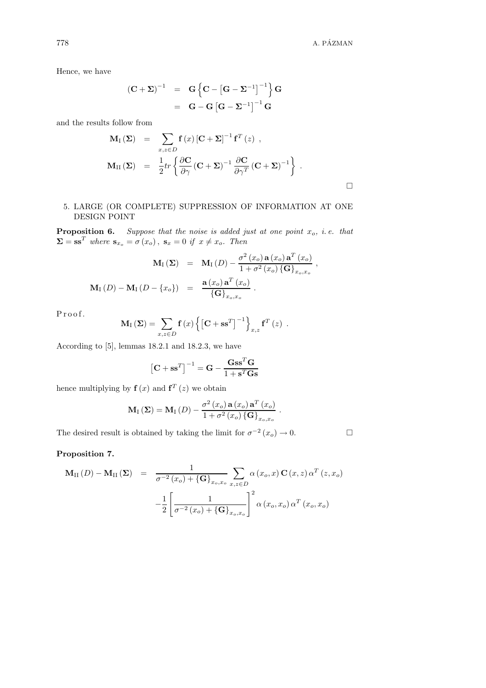Hence, we have

$$
(\mathbf{C} + \mathbf{\Sigma})^{-1} = \mathbf{G} \left\{ \mathbf{C} - \left[ \mathbf{G} - \mathbf{\Sigma}^{-1} \right]^{-1} \right\} \mathbf{G}
$$

$$
= \mathbf{G} - \mathbf{G} \left[ \mathbf{G} - \mathbf{\Sigma}^{-1} \right]^{-1} \mathbf{G}
$$

and the results follow from

$$
\mathbf{M}_{\mathrm{I}}(\Sigma) = \sum_{x,z \in D} \mathbf{f}(x) \left[ \mathbf{C} + \Sigma \right]^{-1} \mathbf{f}^{T}(z) ,
$$
\n
$$
\mathbf{M}_{\mathrm{II}}(\Sigma) = \frac{1}{2} tr \left\{ \frac{\partial \mathbf{C}}{\partial \gamma} (\mathbf{C} + \Sigma)^{-1} \frac{\partial \mathbf{C}}{\partial \gamma^{T}} (\mathbf{C} + \Sigma)^{-1} \right\} .
$$

## 5. LARGE (OR COMPLETE) SUPPRESSION OF INFORMATION AT ONE DESIGN POINT

**Proposition 6.** Suppose that the noise is added just at one point  $x_o$ , i.e. that  $\Sigma = \mathbf{s} \mathbf{s}^T$  where  $\mathbf{s}_{x_o} = \sigma(x_o)$ ,  $\mathbf{s}_x = 0$  if  $x \neq x_o$ . Then

$$
\mathbf{M}_{\mathrm{I}}\left(\mathbf{\Sigma}\right) = \mathbf{M}_{\mathrm{I}}\left(D\right) - \frac{\sigma^2\left(x_o\right)\mathbf{a}\left(x_o\right)\mathbf{a}^T\left(x_o\right)}{1 + \sigma^2\left(x_o\right)\left\{\mathbf{G}\right\}_{x_o, x_o}},
$$
\n
$$
\mathbf{M}_{\mathrm{I}}\left(D\right) - \mathbf{M}_{\mathrm{I}}\left(D - \left\{x_o\right\}\right) = \frac{\mathbf{a}\left(x_o\right)\mathbf{a}^T\left(x_o\right)}{\left\{\mathbf{G}\right\}_{x_o, x_o}}.
$$

Proof.

$$
\mathbf{M}_{\mathrm{I}}\left(\boldsymbol{\Sigma}\right) = \sum_{x,z \in D} \mathbf{f}\left(x\right) \left\{\left[\mathbf{C} + \mathbf{s}\mathbf{s}^{T}\right]^{-1}\right\}_{x,z} \mathbf{f}^{T}\left(z\right) .
$$

According to [5], lemmas 18.2.1 and 18.2.3, we have

$$
\left[\mathbf{C} + \mathbf{s} \mathbf{s}^T\right]^{-1} = \mathbf{G} - \frac{\mathbf{G} \mathbf{s} \mathbf{s}^T \mathbf{G}}{1 + \mathbf{s}^T \mathbf{G} \mathbf{s}}
$$

hence multiplying by  $f(x)$  and  $f^{T}(z)$  we obtain

$$
\mathbf{M}_{\mathrm{I}}\left(\mathbf{\Sigma}\right) = \mathbf{M}_{\mathrm{I}}\left(D\right) - \frac{\sigma^2\left(x_o\right)\mathbf{a}\left(x_o\right)\mathbf{a}^T\left(x_o\right)}{1 + \sigma^2\left(x_o\right)\left\{\mathbf{G}\right\}_{x_o, x_o}}.
$$

The desired result is obtained by taking the limit for  $\sigma^{-2}(x_o) \to 0$ .

## Proposition 7.

$$
\mathbf{M}_{II}(D) - \mathbf{M}_{II}(\boldsymbol{\Sigma}) = \frac{1}{\sigma^{-2}(x_o) + {\{\mathbf{G}\}}_{x_o, x_o}} \sum_{x, z \in D} \alpha(x_o, x) \mathbf{C}(x, z) \alpha^T(z, x_o)
$$

$$
- \frac{1}{2} \left[ \frac{1}{\sigma^{-2}(x_o) + {\{\mathbf{G}\}}_{x_o, x_o}} \right]^2 \alpha(x_o, x_o) \alpha^T(x_o, x_o)
$$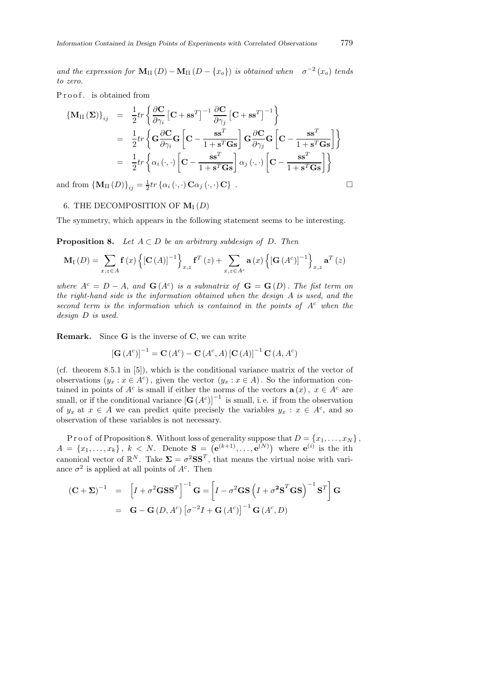and the expression for  $\mathbf{M}_{\text{II}}(D) - \mathbf{M}_{\text{II}}(D - \{x_o\})$  is obtained when  $\sigma^{-2}(x_o)$  tends to zero.

P r o o f . is obtained from

$$
\begin{split} \left\{ \mathbf{M}_{\text{II}}\left(\boldsymbol{\Sigma}\right)\right\}_{ij} & = & \frac{1}{2}tr\left\{ \frac{\partial \mathbf{C}}{\partial \gamma_{i}}\left[\mathbf{C} + \mathbf{s}\mathbf{s}^{T}\right]^{-1} \frac{\partial \mathbf{C}}{\partial \gamma_{j}}\left[\mathbf{C} + \mathbf{s}\mathbf{s}^{T}\right]^{-1} \right\} \\ & = & \frac{1}{2}tr\left\{ \mathbf{G}\frac{\partial \mathbf{C}}{\partial \gamma_{i}}\mathbf{G}\left[\mathbf{C} - \frac{\mathbf{s}\mathbf{s}^{T}}{1 + \mathbf{s}^{T}\mathbf{G}\mathbf{s}}\right]\mathbf{G}\frac{\partial \mathbf{C}}{\partial \gamma_{j}}\mathbf{G}\left[\mathbf{C} - \frac{\mathbf{s}\mathbf{s}^{T}}{1 + \mathbf{s}^{T}\mathbf{G}\mathbf{s}}\right]\right\} \\ & = & \frac{1}{2}tr\left\{ \alpha_{i}\left(\cdot,\cdot\right)\left[\mathbf{C} - \frac{\mathbf{s}\mathbf{s}^{T}}{1 + \mathbf{s}^{T}\mathbf{G}\mathbf{s}}\right]\alpha_{j}\left(\cdot,\cdot\right)\left[\mathbf{C} - \frac{\mathbf{s}\mathbf{s}^{T}}{1 + \mathbf{s}^{T}\mathbf{G}\mathbf{s}}\right]\right\} \end{split}
$$

and from  $\{M_{II}(D)\}_{ij} = \frac{1}{2}tr\{\alpha_i(\cdot,\cdot)\mathbf{C}\alpha_j(\cdot,\cdot)\mathbf{C}\}\$ .

### 6. THE DECOMPOSITION OF  $M_I(D)$

The symmetry, which appears in the following statement seems to be interesting.

**Proposition 8.** Let  $A \subset D$  be an arbitrary subdesign of D. Then

$$
\mathbf{M}_{\mathrm{I}}\left(D\right) = \sum_{x,z \in A} \mathbf{f}\left(x\right) \left\{\left[\mathbf{C}\left(A\right)\right]^{-1}\right\}_{x,z} \mathbf{f}^{T}\left(z\right) + \sum_{x,z \in A^{c}} \mathbf{a}\left(x\right) \left\{\left[\mathbf{G}\left(A^{c}\right)\right]^{-1}\right\}_{x,z} \mathbf{a}^{T}\left(z\right)
$$

where  $A^c = D - A$ , and  $\mathbf{G}(A^c)$  is a submatrix of  $\mathbf{G} = \mathbf{G}(D)$ . The fist term on the right-hand side is the information obtained when the design A is used, and the second term is the information which is contained in the points of  $A<sup>c</sup>$  when the design D is used.

Remark. Since G is the inverse of C, we can write

$$
[{\bf G}\,(A^c)]^{-1} = {\bf C}\,(A^c) - {\bf C}\,(A^c,A) \, [{\bf C}\,(A)]^{-1} \, {\bf C}\,(A,A^c)
$$

(cf. theorem 8.5.1 in [5]), which is the conditional variance matrix of the vector of observations  $(y_x : x \in A^c)$ , given the vector  $(y_x : x \in A)$ . So the information contained in points of  $A^c$  is small if either the norms of the vectors  $\mathbf{a}(x)$ ,  $x \in A^c$  are small, or if the conditional variance  $\left[\mathbf{G}\left(A^{c}\right)\right]^{-1}$  is small, i.e. if from the observation of  $y_x$  at  $x \in A$  we can predict quite precisely the variables  $y_x : x \in A^c$ , and so observation of these variables is not necessary.

P r o o f of Proposition 8. Without loss of generality suppose that  $D = \{x_1, \ldots, x_N\}$ ,  $A = \{x_1, \ldots, x_k\}, k < N.$  Denote  $S = (e^{(k+1)}, \ldots, e^{(N)})$  where  $e^{(i)}$  is the ith canonical vector of  $\mathbb{R}^N$ . Take  $\Sigma = \sigma^2 \mathbf{S} \mathbf{S}^T$ , that means the virtual noise with variance  $\sigma^2$  is applied at all points of  $A^c$ . Then

$$
(\mathbf{C} + \mathbf{\Sigma})^{-1} = \left[I + \sigma^2 \mathbf{G} \mathbf{S} \mathbf{S}^T\right]^{-1} \mathbf{G} = \left[I - \sigma^2 \mathbf{G} \mathbf{S} \left(I + \sigma^2 \mathbf{S}^T \mathbf{G} \mathbf{S}\right)^{-1} \mathbf{S}^T\right] \mathbf{G}
$$

$$
= \mathbf{G} - \mathbf{G} \left(D, A^c\right) \left[\sigma^{-2} I + \mathbf{G} \left(A^c\right)\right]^{-1} \mathbf{G} \left(A^c, D\right)
$$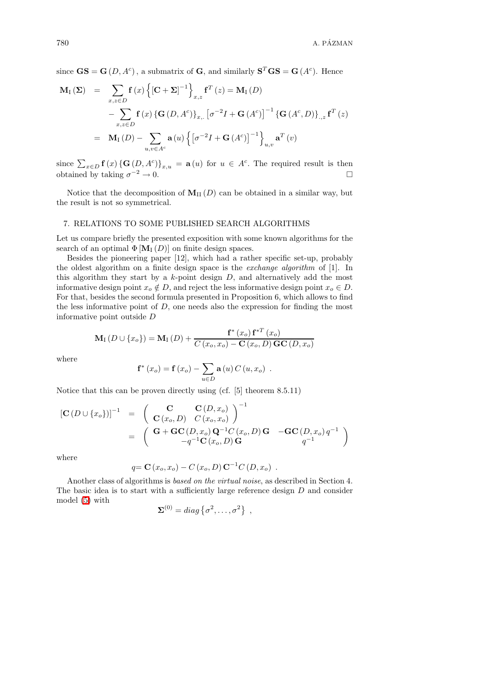since  $\mathbf{GS} = \mathbf{G}(D, A^c)$ , a submatrix of  $\mathbf{G}$ , and similarly  $\mathbf{S}^T \mathbf{GS} = \mathbf{G}(A^c)$ . Hence

$$
\mathbf{M}_{I}(\Sigma) = \sum_{x,z \in D} \mathbf{f}(x) \left\{ [\mathbf{C} + \Sigma]^{-1} \right\}_{x,z} \mathbf{f}^{T}(z) = \mathbf{M}_{I}(D)
$$

$$
- \sum_{x,z \in D} \mathbf{f}(x) \left\{ \mathbf{G}(D, A^{c}) \right\}_{x, \cdot} \left[ \sigma^{-2} I + \mathbf{G}(A^{c}) \right]^{-1} \left\{ \mathbf{G}(A^{c}, D) \right\}_{.,z} \mathbf{f}^{T}(z)
$$

$$
= \mathbf{M}_{I}(D) - \sum_{u,v \in A^{c}} \mathbf{a}(u) \left\{ \left[ \sigma^{-2} I + \mathbf{G}(A^{c}) \right]^{-1} \right\}_{u,v} \mathbf{a}^{T}(v)
$$

since  $\sum_{x \in D} f(x) \{ G(D, A^c) \}_{x,u} = \mathbf{a}(u)$  for  $u \in A^c$ . The required result is then obtained by taking  $\sigma^{-2} \to 0$ .  $-2 \rightarrow 0.$ 

Notice that the decomposition of  $M_{II}(D)$  can be obtained in a similar way, but the result is not so symmetrical.

### 7. RELATIONS TO SOME PUBLISHED SEARCH ALGORITHMS

Let us compare briefly the presented exposition with some known algorithms for the search of an optimal  $\Phi[\mathbf{M}_{\mathrm{I}}(D)]$  on finite design spaces.

Besides the pioneering paper [12], which had a rather specific set-up, probably the oldest algorithm on a finite design space is the *exchange algorithm* of  $[1]$ . In this algorithm they start by a  $k$ -point design  $D$ , and alternatively add the most informative design point  $x_o \notin D$ , and reject the less informative design point  $x_o \in D$ . For that, besides the second formula presented in Proposition 6, which allows to find the less informative point of  $D$ , one needs also the expression for finding the most informative point outside D

$$
\mathbf{M}_{\mathrm{I}}\left(D \cup \{x_o\}\right) = \mathbf{M}_{\mathrm{I}}\left(D\right) + \frac{\mathbf{f}^*\left(x_o\right)\mathbf{f}^{*T}\left(x_o\right)}{C\left(x_o, x_o\right) - \mathbf{C}\left(x_o, D\right)\mathbf{G}\mathbf{C}\left(D, x_o\right)}
$$

where

$$
f*(xo) = f(xo) - \sum_{u \in D} a(u) C(u, xo) .
$$

Notice that this can be proven directly using (cf. [5] theorem 8.5.11)

$$
\begin{array}{rcl}\n\left[\mathbf{C}\left(D\cup\{x_{o}\}\right)\right]^{-1} & = & \left(\begin{array}{c}\n\mathbf{C} & \mathbf{C}\left(D,x_{o}\right) \\
\mathbf{C}\left(x_{o},D\right) & C\left(x_{o},x_{o}\right)\n\end{array}\right)^{-1} \\
& = & \left(\begin{array}{cc}\n\mathbf{G} + \mathbf{G}\mathbf{C}\left(D,x_{o}\right)\mathbf{Q}^{-1}C\left(x_{o},D\right)\mathbf{G} & -\mathbf{G}\mathbf{C}\left(D,x_{o}\right)q^{-1} \\
-q^{-1}\mathbf{C}\left(x_{o},D\right)\mathbf{G} & q^{-1}\n\end{array}\right)\n\end{array}
$$

where

$$
q = \mathbf{C}(x_o, x_o) - C(x_o, D) \mathbf{C}^{-1} C(D, x_o)
$$
.

Another class of algorithms is based on the virtual noise, as described in Section 4. The basic idea is to start with a sufficiently large reference design D and consider model [\(5\)](#page-5-0) with

$$
\Sigma^{(0)} = diag\left\{\sigma^2,\ldots,\sigma^2\right\} ,
$$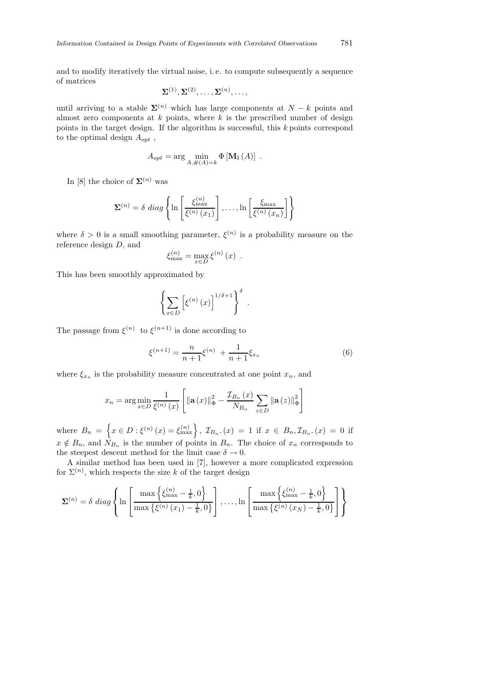and to modify iteratively the virtual noise, i. e. to compute subsequently a sequence of matrices

$$
\Sigma^{(1)}, \Sigma^{(2)}, \ldots, \Sigma^{(n)}, \ldots,
$$

until arriving to a stable  $\Sigma^{(n)}$  which has large components at  $N - k$  points and almost zero components at  $k$  points, where  $k$  is the prescribed number of design points in the target design. If the algorithm is successful, this  $k$  points correspond to the optimal design  $A_{opt}$ ,

$$
A_{opt} = \arg\min_{A,\#(A)=k} \Phi \left[\mathbf{M}_{\mathrm{I}}\left(A\right)\right] .
$$

In [8] the choice of  $\Sigma^{(n)}$  was

$$
\mathbf{\Sigma}^{(n)} = \delta \ diag \left\{ \ln \left[ \frac{\xi_{\max}^{(n)}}{\xi^{(n)}(x_1)} \right], \dots, \ln \left[ \frac{\xi_{\max}}{\xi^{(n)}(x_n)} \right] \right\}
$$

where  $\delta > 0$  is a small smoothing parameter,  $\xi^{(n)}$  is a probability measure on the reference design D, and

$$
\xi_{\max}^{(n)} = \max_{x \in D} \xi^{(n)}(x) .
$$

This has been smoothly approximated by

$$
\left\{\sum_{x\in D}\left[\xi^{(n)}\left(x\right)\right]^{1/\delta+1}\right\}^{\delta}.
$$

<span id="page-10-0"></span>The passage from  $\xi^{(n)}$  to  $\xi^{(n+1)}$  is done according to

$$
\xi^{(n+1)} = \frac{n}{n+1} \xi^{(n)} + \frac{1}{n+1} \xi_{x_n} \tag{6}
$$

where  $\xi_{x_n}$  is the probability measure concentrated at one point  $x_n$ , and

$$
x_n = \arg\min_{x \in D} \frac{1}{\xi^{(n)}(x)} \left[ \|\mathbf{a}(x)\|_{\Phi}^2 - \frac{\mathcal{I}_{B_n}(x)}{N_{B_n}} \sum_{z \in D} \|\mathbf{a}(z)\|_{\Phi}^2 \right]
$$

where  $B_n = \left\{ x \in D : \xi^{(n)}(x) = \xi_{\max}^{(n)} \right\}, Z_{B_n}.(x) = 1$  if  $x \in B_n, \mathcal{I}_{B_n}.(x) = 0$  if  $x \notin B_n$ , and  $N_{B_n}$  is the number of points in  $B_n$ . The choice of  $x_n$  corresponds to the steepest descent method for the limit case  $\delta \to 0$ .

A similar method has been used in [7], however a more complicated expression for  $\Sigma^{(n)}$ , which respects the size k of the target design

$$
\Sigma^{(n)} = \delta \ diag \left\{ \ln \left[ \frac{\max \left\{ \xi_{\max}^{(n)} - \frac{1}{k}, 0 \right\}}{\max \left\{ \xi^{(n)}(x_1) - \frac{1}{k}, 0 \right\}} \right], \dots, \ln \left[ \frac{\max \left\{ \xi_{\max}^{(n)} - \frac{1}{k}, 0 \right\}}{\max \left\{ \xi^{(n)}(x_N) - \frac{1}{k}, 0 \right\}} \right] \right\}
$$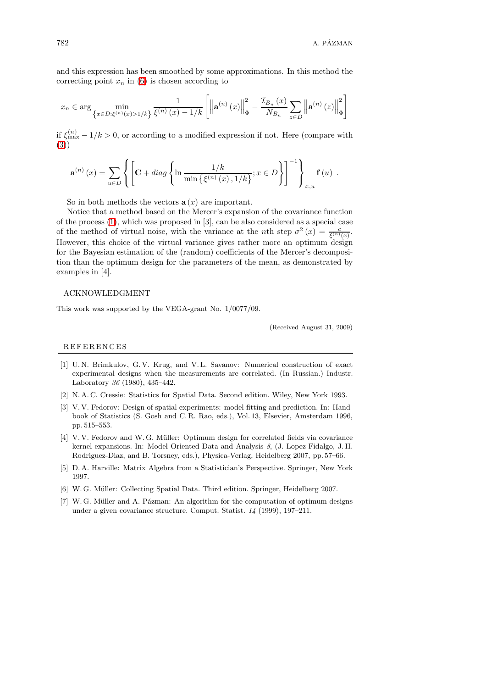and this expression has been smoothed by some approximations. In this method the correcting point  $x_n$  in [\(6\)](#page-10-0) is chosen according to

$$
x_n \in \arg\min_{\left\{x \in D: \xi^{(n)}(x) > 1/k\right\}} \frac{1}{\xi^{(n)}(x) - 1/k} \left[ \left\| \mathbf{a}^{(n)}\left(x\right) \right\|_{\Phi}^2 - \frac{\mathcal{I}_{B_n}\left(x\right)}{N_{B_n}} \sum_{z \in D} \left\| \mathbf{a}^{(n)}\left(z\right) \right\|_{\Phi}^2 \right]
$$

if  $\xi_{\text{max}}^{(n)} - 1/k > 0$ , or according to a modified expression if not. Here (compare with [\(3\)](#page-3-1))

$$
\mathbf{a}^{(n)}\left(x\right) = \sum_{u \in D} \left\{ \left[ \mathbf{C} + diag \left\{ \ln \frac{1/k}{\min \left\{ \xi^{(n)}\left(x\right), 1/k \right\}} ; x \in D \right\} \right]^{-1} \right\}_{x,u} \mathbf{f}\left(u\right) .
$$

So in both methods the vectors  $a(x)$  are important.

Notice that a method based on the Mercer's expansion of the covariance function of the process [\(1\)](#page-0-0), which was proposed in [3], can be also considered as a special case of the method of virtual noise, with the variance at the *n*th step  $\sigma^2(x) = \frac{c}{\xi^{(n)}(x)}$ . However, this choice of the virtual variance gives rather more an optimum design for the Bayesian estimation of the (random) coefficients of the Mercer's decomposition than the optimum design for the parameters of the mean, as demonstrated by examples in [4].

### ACKNOWLEDGMENT

This work was supported by the VEGA-grant No. 1/0077/09.

(Received August 31, 2009)

#### R E F E R E N C E S

- [1] U. N. Brimkulov, G. V. Krug, and V. L. Savanov: Numerical construction of exact experimental designs when the measurements are correlated. (In Russian.) Industr. Laboratory 36 (1980), 435–442.
- [2] N. A. C. Cressie: Statistics for Spatial Data. Second edition. Wiley, New York 1993.
- [3] V. V. Fedorov: Design of spatial experiments: model fitting and prediction. In: Handbook of Statistics (S. Gosh and C. R. Rao, eds.), Vol. 13, Elsevier, Amsterdam 1996, pp. 515–553.
- [4] V.V. Fedorov and W.G. Müller: Optimum design for correlated fields via covariance kernel expansions. In: Model Oriented Data and Analysis 8, (J. Lopez-Fidalgo, J. H. Rodriguez-Diaz, and B. Torsney, eds.), Physica-Verlag, Heidelberg 2007, pp. 57–66.
- [5] D. A. Harville: Matrix Algebra from a Statistician's Perspective. Springer, New York 1997.
- [6] W. G. Müller: Collecting Spatial Data. Third edition. Springer, Heidelberg 2007.
- $[7]$  W. G. Müller and A. Pázman: An algorithm for the computation of optimum designs under a given covariance structure. Comput. Statist. 14 (1999), 197–211.